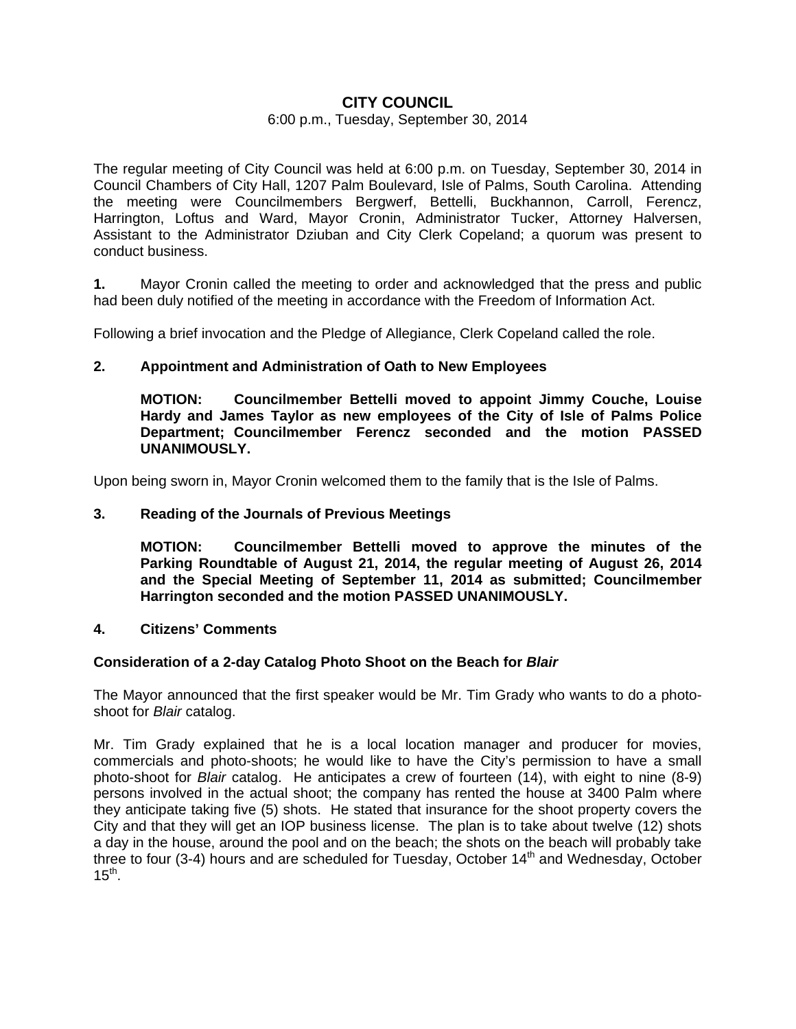# **CITY COUNCIL**

#### 6:00 p.m., Tuesday, September 30, 2014

The regular meeting of City Council was held at 6:00 p.m. on Tuesday, September 30, 2014 in Council Chambers of City Hall, 1207 Palm Boulevard, Isle of Palms, South Carolina. Attending the meeting were Councilmembers Bergwerf, Bettelli, Buckhannon, Carroll, Ferencz, Harrington, Loftus and Ward, Mayor Cronin, Administrator Tucker, Attorney Halversen, Assistant to the Administrator Dziuban and City Clerk Copeland; a quorum was present to conduct business.

**1.** Mayor Cronin called the meeting to order and acknowledged that the press and public had been duly notified of the meeting in accordance with the Freedom of Information Act.

Following a brief invocation and the Pledge of Allegiance, Clerk Copeland called the role.

### **2. Appointment and Administration of Oath to New Employees**

 **MOTION: Councilmember Bettelli moved to appoint Jimmy Couche, Louise Hardy and James Taylor as new employees of the City of Isle of Palms Police Department; Councilmember Ferencz seconded and the motion PASSED UNANIMOUSLY.** 

Upon being sworn in, Mayor Cronin welcomed them to the family that is the Isle of Palms.

### **3. Reading of the Journals of Previous Meetings**

 **MOTION: Councilmember Bettelli moved to approve the minutes of the Parking Roundtable of August 21, 2014, the regular meeting of August 26, 2014 and the Special Meeting of September 11, 2014 as submitted; Councilmember Harrington seconded and the motion PASSED UNANIMOUSLY.** 

### **4. Citizens' Comments**

#### **Consideration of a 2-day Catalog Photo Shoot on the Beach for** *Blair*

The Mayor announced that the first speaker would be Mr. Tim Grady who wants to do a photoshoot for *Blair* catalog.

Mr. Tim Grady explained that he is a local location manager and producer for movies, commercials and photo-shoots; he would like to have the City's permission to have a small photo-shoot for *Blair* catalog. He anticipates a crew of fourteen (14), with eight to nine (8-9) persons involved in the actual shoot; the company has rented the house at 3400 Palm where they anticipate taking five (5) shots. He stated that insurance for the shoot property covers the City and that they will get an IOP business license. The plan is to take about twelve (12) shots a day in the house, around the pool and on the beach; the shots on the beach will probably take three to four (3-4) hours and are scheduled for Tuesday, October 14<sup>th</sup> and Wednesday, October  $15^{th}$ .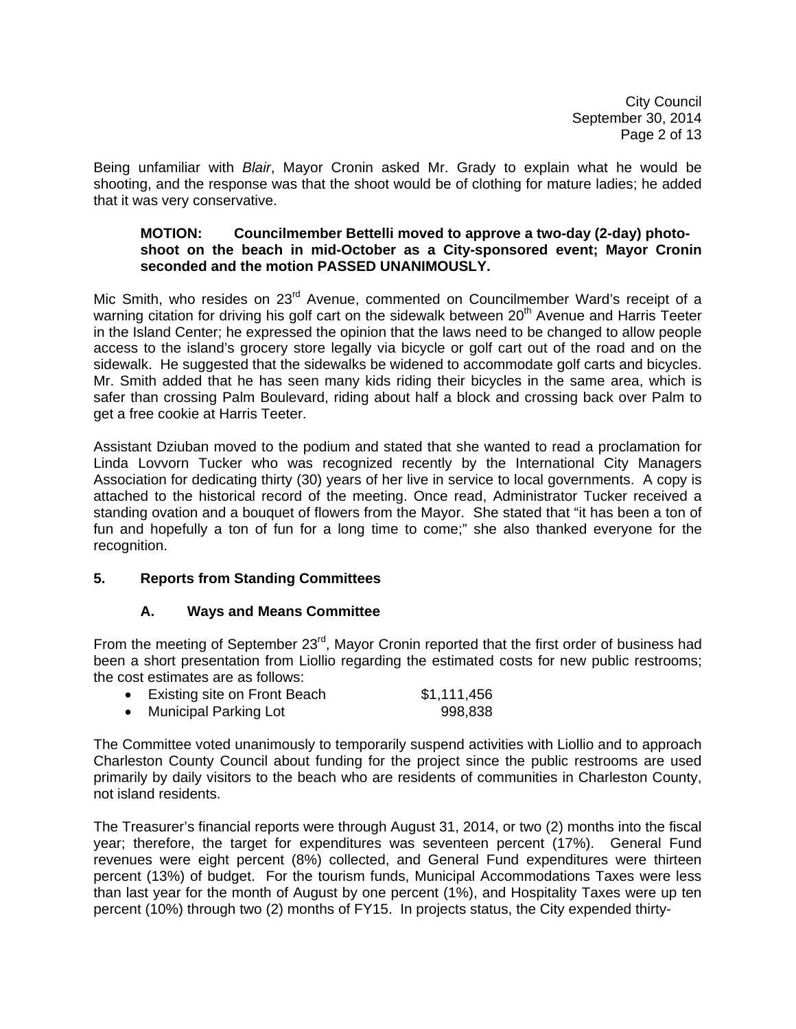City Council September 30, 2014 Page 2 of 13

Being unfamiliar with *Blair*, Mayor Cronin asked Mr. Grady to explain what he would be shooting, and the response was that the shoot would be of clothing for mature ladies; he added that it was very conservative.

### **MOTION: Councilmember Bettelli moved to approve a two-day (2-day) photo shoot on the beach in mid-October as a City-sponsored event; Mayor Cronin seconded and the motion PASSED UNANIMOUSLY.**

Mic Smith, who resides on 23<sup>rd</sup> Avenue, commented on Councilmember Ward's receipt of a warning citation for driving his golf cart on the sidewalk between 20<sup>th</sup> Avenue and Harris Teeter in the Island Center; he expressed the opinion that the laws need to be changed to allow people access to the island's grocery store legally via bicycle or golf cart out of the road and on the sidewalk. He suggested that the sidewalks be widened to accommodate golf carts and bicycles. Mr. Smith added that he has seen many kids riding their bicycles in the same area, which is safer than crossing Palm Boulevard, riding about half a block and crossing back over Palm to get a free cookie at Harris Teeter.

Assistant Dziuban moved to the podium and stated that she wanted to read a proclamation for Linda Lovvorn Tucker who was recognized recently by the International City Managers Association for dedicating thirty (30) years of her live in service to local governments. A copy is attached to the historical record of the meeting. Once read, Administrator Tucker received a standing ovation and a bouquet of flowers from the Mayor. She stated that "it has been a ton of fun and hopefully a ton of fun for a long time to come;" she also thanked everyone for the recognition.

## **5. Reports from Standing Committees**

## **A. Ways and Means Committee**

From the meeting of September 23<sup>rd</sup>, Mayor Cronin reported that the first order of business had been a short presentation from Liollio regarding the estimated costs for new public restrooms; the cost estimates are as follows:

|  | Existing site on Front Beach | \$1,111,456 |
|--|------------------------------|-------------|
|--|------------------------------|-------------|

**Municipal Parking Lot** 998,838

The Committee voted unanimously to temporarily suspend activities with Liollio and to approach Charleston County Council about funding for the project since the public restrooms are used primarily by daily visitors to the beach who are residents of communities in Charleston County, not island residents.

The Treasurer's financial reports were through August 31, 2014, or two (2) months into the fiscal year; therefore, the target for expenditures was seventeen percent (17%). General Fund revenues were eight percent (8%) collected, and General Fund expenditures were thirteen percent (13%) of budget. For the tourism funds, Municipal Accommodations Taxes were less than last year for the month of August by one percent (1%), and Hospitality Taxes were up ten percent (10%) through two (2) months of FY15. In projects status, the City expended thirty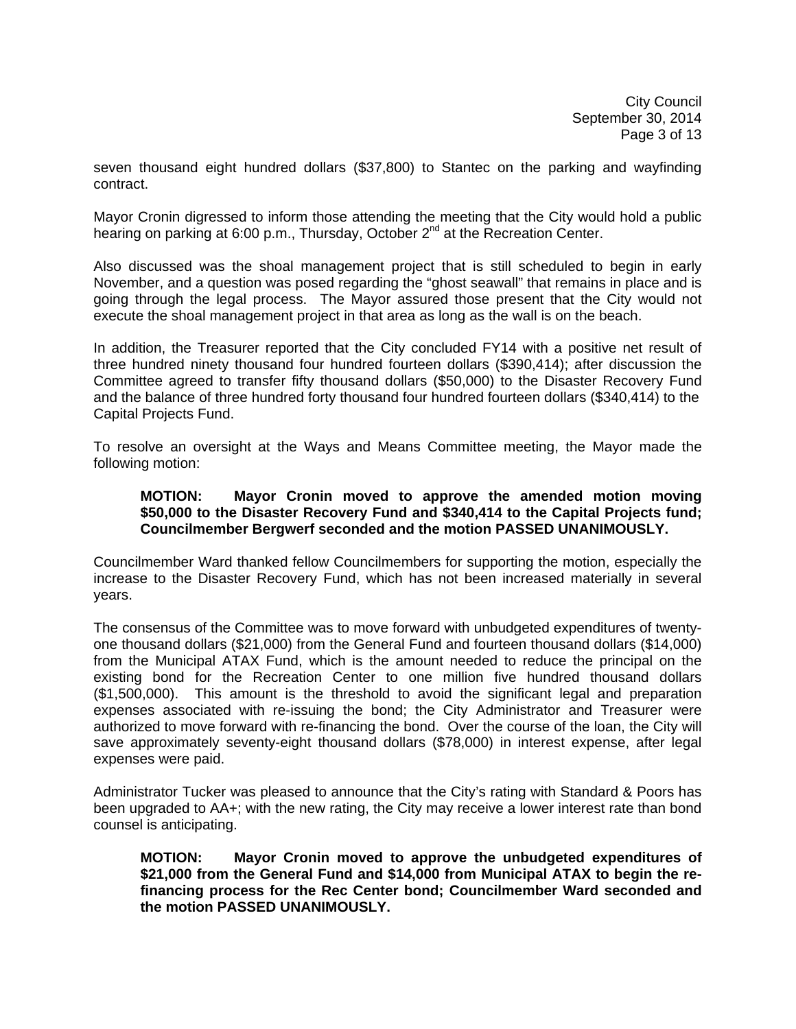seven thousand eight hundred dollars (\$37,800) to Stantec on the parking and wayfinding contract.

Mayor Cronin digressed to inform those attending the meeting that the City would hold a public hearing on parking at 6:00 p.m., Thursday, October 2<sup>nd</sup> at the Recreation Center.

Also discussed was the shoal management project that is still scheduled to begin in early November, and a question was posed regarding the "ghost seawall" that remains in place and is going through the legal process. The Mayor assured those present that the City would not execute the shoal management project in that area as long as the wall is on the beach.

In addition, the Treasurer reported that the City concluded FY14 with a positive net result of three hundred ninety thousand four hundred fourteen dollars (\$390,414); after discussion the Committee agreed to transfer fifty thousand dollars (\$50,000) to the Disaster Recovery Fund and the balance of three hundred forty thousand four hundred fourteen dollars (\$340,414) to the Capital Projects Fund.

To resolve an oversight at the Ways and Means Committee meeting, the Mayor made the following motion:

#### **MOTION: Mayor Cronin moved to approve the amended motion moving \$50,000 to the Disaster Recovery Fund and \$340,414 to the Capital Projects fund; Councilmember Bergwerf seconded and the motion PASSED UNANIMOUSLY.**

Councilmember Ward thanked fellow Councilmembers for supporting the motion, especially the increase to the Disaster Recovery Fund, which has not been increased materially in several years.

The consensus of the Committee was to move forward with unbudgeted expenditures of twentyone thousand dollars (\$21,000) from the General Fund and fourteen thousand dollars (\$14,000) from the Municipal ATAX Fund, which is the amount needed to reduce the principal on the existing bond for the Recreation Center to one million five hundred thousand dollars (\$1,500,000). This amount is the threshold to avoid the significant legal and preparation expenses associated with re-issuing the bond; the City Administrator and Treasurer were authorized to move forward with re-financing the bond. Over the course of the loan, the City will save approximately seventy-eight thousand dollars (\$78,000) in interest expense, after legal expenses were paid.

Administrator Tucker was pleased to announce that the City's rating with Standard & Poors has been upgraded to AA+; with the new rating, the City may receive a lower interest rate than bond counsel is anticipating.

**MOTION: Mayor Cronin moved to approve the unbudgeted expenditures of \$21,000 from the General Fund and \$14,000 from Municipal ATAX to begin the re financing process for the Rec Center bond; Councilmember Ward seconded and the motion PASSED UNANIMOUSLY.**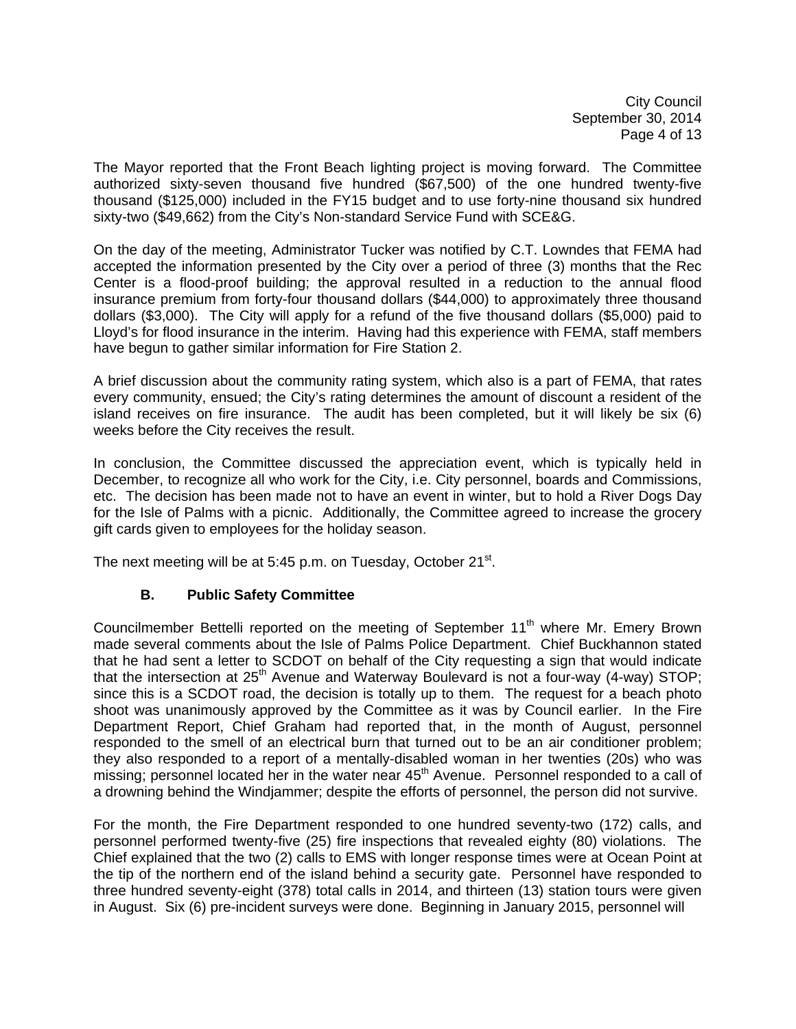City Council September 30, 2014 Page 4 of 13

The Mayor reported that the Front Beach lighting project is moving forward. The Committee authorized sixty-seven thousand five hundred (\$67,500) of the one hundred twenty-five thousand (\$125,000) included in the FY15 budget and to use forty-nine thousand six hundred sixty-two (\$49,662) from the City's Non-standard Service Fund with SCE&G.

On the day of the meeting, Administrator Tucker was notified by C.T. Lowndes that FEMA had accepted the information presented by the City over a period of three (3) months that the Rec Center is a flood-proof building; the approval resulted in a reduction to the annual flood insurance premium from forty-four thousand dollars (\$44,000) to approximately three thousand dollars (\$3,000). The City will apply for a refund of the five thousand dollars (\$5,000) paid to Lloyd's for flood insurance in the interim. Having had this experience with FEMA, staff members have begun to gather similar information for Fire Station 2.

A brief discussion about the community rating system, which also is a part of FEMA, that rates every community, ensued; the City's rating determines the amount of discount a resident of the island receives on fire insurance. The audit has been completed, but it will likely be six (6) weeks before the City receives the result.

In conclusion, the Committee discussed the appreciation event, which is typically held in December, to recognize all who work for the City, i.e. City personnel, boards and Commissions, etc. The decision has been made not to have an event in winter, but to hold a River Dogs Day for the Isle of Palms with a picnic. Additionally, the Committee agreed to increase the grocery gift cards given to employees for the holiday season.

The next meeting will be at 5:45 p.m. on Tuesday, October  $21^{st}$ .

## **B. Public Safety Committee**

Councilmember Bettelli reported on the meeting of September 11<sup>th</sup> where Mr. Emery Brown made several comments about the Isle of Palms Police Department. Chief Buckhannon stated that he had sent a letter to SCDOT on behalf of the City requesting a sign that would indicate that the intersection at  $25<sup>th</sup>$  Avenue and Waterway Boulevard is not a four-way (4-way) STOP; since this is a SCDOT road, the decision is totally up to them. The request for a beach photo shoot was unanimously approved by the Committee as it was by Council earlier. In the Fire Department Report, Chief Graham had reported that, in the month of August, personnel responded to the smell of an electrical burn that turned out to be an air conditioner problem; they also responded to a report of a mentally-disabled woman in her twenties (20s) who was missing; personnel located her in the water near 45<sup>th</sup> Avenue. Personnel responded to a call of a drowning behind the Windjammer; despite the efforts of personnel, the person did not survive.

For the month, the Fire Department responded to one hundred seventy-two (172) calls, and personnel performed twenty-five (25) fire inspections that revealed eighty (80) violations. The Chief explained that the two (2) calls to EMS with longer response times were at Ocean Point at the tip of the northern end of the island behind a security gate. Personnel have responded to three hundred seventy-eight (378) total calls in 2014, and thirteen (13) station tours were given in August. Six (6) pre-incident surveys were done. Beginning in January 2015, personnel will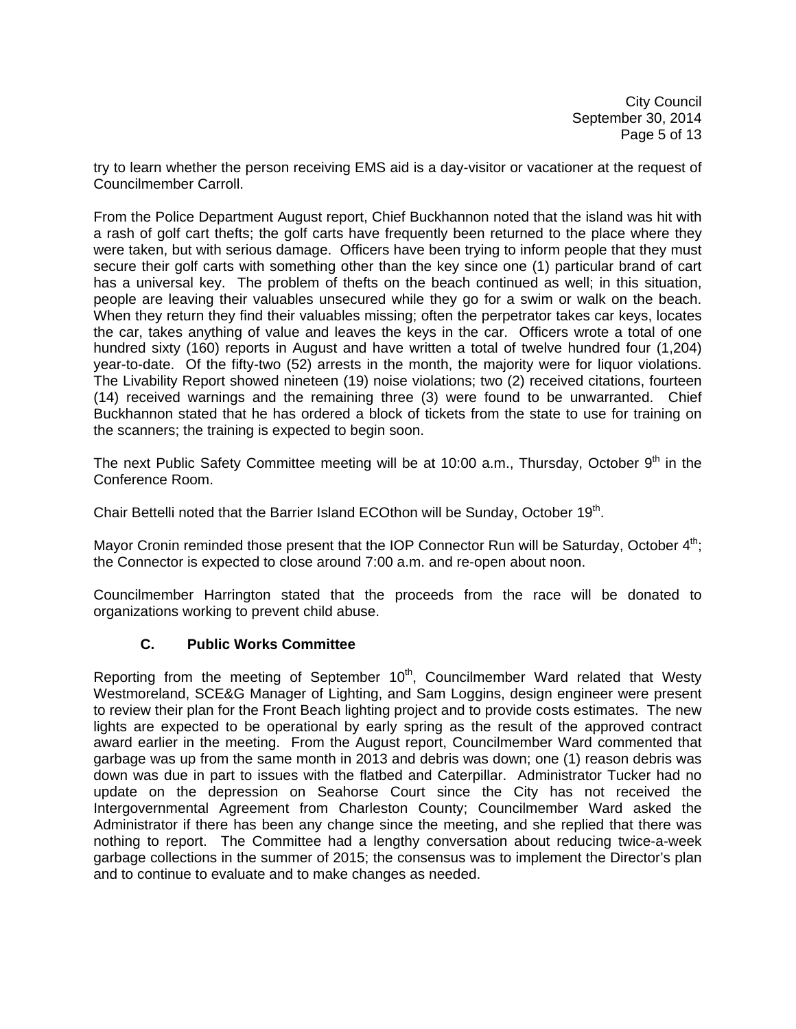City Council September 30, 2014 Page 5 of 13

try to learn whether the person receiving EMS aid is a day-visitor or vacationer at the request of Councilmember Carroll.

From the Police Department August report, Chief Buckhannon noted that the island was hit with a rash of golf cart thefts; the golf carts have frequently been returned to the place where they were taken, but with serious damage. Officers have been trying to inform people that they must secure their golf carts with something other than the key since one (1) particular brand of cart has a universal key. The problem of thefts on the beach continued as well; in this situation, people are leaving their valuables unsecured while they go for a swim or walk on the beach. When they return they find their valuables missing; often the perpetrator takes car keys, locates the car, takes anything of value and leaves the keys in the car. Officers wrote a total of one hundred sixty (160) reports in August and have written a total of twelve hundred four (1,204) year-to-date. Of the fifty-two (52) arrests in the month, the majority were for liquor violations. The Livability Report showed nineteen (19) noise violations; two (2) received citations, fourteen (14) received warnings and the remaining three (3) were found to be unwarranted. Chief Buckhannon stated that he has ordered a block of tickets from the state to use for training on the scanners; the training is expected to begin soon.

The next Public Safety Committee meeting will be at 10:00 a.m., Thursday, October 9<sup>th</sup> in the Conference Room.

Chair Bettelli noted that the Barrier Island ECOthon will be Sunday, October 19th.

Mayor Cronin reminded those present that the IOP Connector Run will be Saturday, October 4<sup>th</sup>; the Connector is expected to close around 7:00 a.m. and re-open about noon.

Councilmember Harrington stated that the proceeds from the race will be donated to organizations working to prevent child abuse.

## **C. Public Works Committee**

Reporting from the meeting of September 10<sup>th</sup>, Councilmember Ward related that Westy Westmoreland, SCE&G Manager of Lighting, and Sam Loggins, design engineer were present to review their plan for the Front Beach lighting project and to provide costs estimates. The new lights are expected to be operational by early spring as the result of the approved contract award earlier in the meeting. From the August report, Councilmember Ward commented that garbage was up from the same month in 2013 and debris was down; one (1) reason debris was down was due in part to issues with the flatbed and Caterpillar. Administrator Tucker had no update on the depression on Seahorse Court since the City has not received the Intergovernmental Agreement from Charleston County; Councilmember Ward asked the Administrator if there has been any change since the meeting, and she replied that there was nothing to report. The Committee had a lengthy conversation about reducing twice-a-week garbage collections in the summer of 2015; the consensus was to implement the Director's plan and to continue to evaluate and to make changes as needed.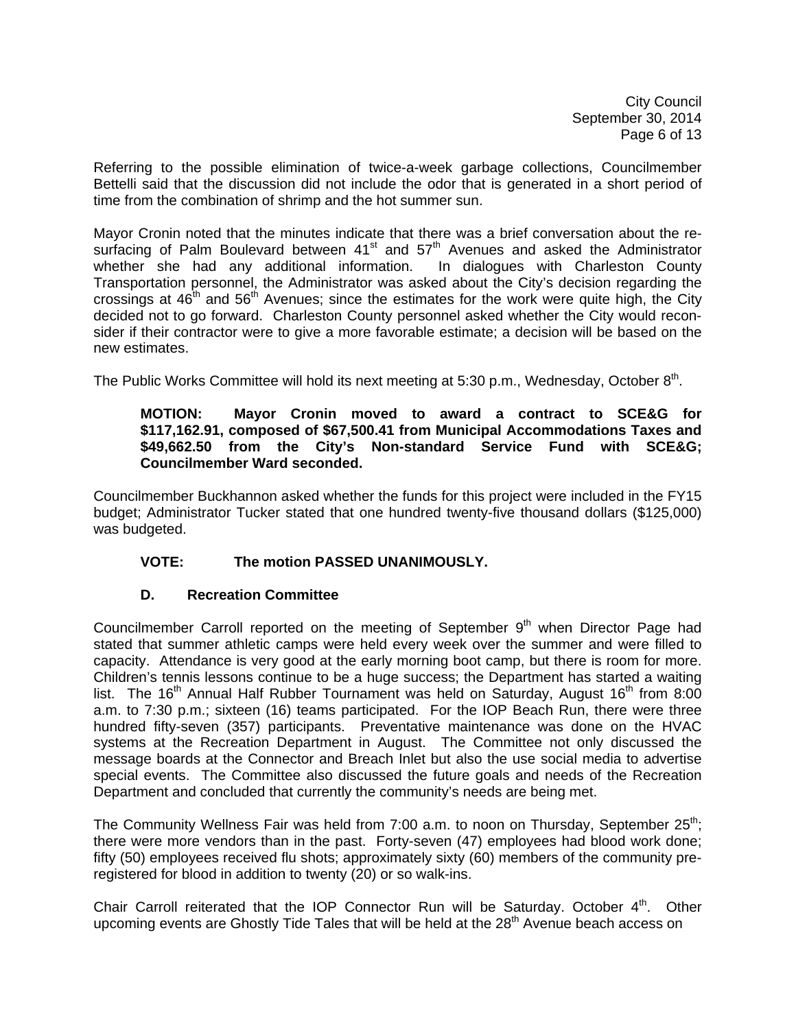City Council September 30, 2014 Page 6 of 13

Referring to the possible elimination of twice-a-week garbage collections, Councilmember Bettelli said that the discussion did not include the odor that is generated in a short period of time from the combination of shrimp and the hot summer sun.

Mayor Cronin noted that the minutes indicate that there was a brief conversation about the resurfacing of Palm Boulevard between  $41<sup>st</sup>$  and  $57<sup>th</sup>$  Avenues and asked the Administrator whether she had any additional information. In dialogues with Charleston County Transportation personnel, the Administrator was asked about the City's decision regarding the crossings at  $46<sup>th</sup>$  and  $56<sup>th</sup>$  Avenues; since the estimates for the work were quite high, the City decided not to go forward. Charleston County personnel asked whether the City would reconsider if their contractor were to give a more favorable estimate; a decision will be based on the new estimates.

The Public Works Committee will hold its next meeting at 5:30 p.m., Wednesday, October  $8<sup>th</sup>$ .

### **MOTION: Mayor Cronin moved to award a contract to SCE&G for \$117,162.91, composed of \$67,500.41 from Municipal Accommodations Taxes and \$49,662.50 from the City's Non-standard Service Fund with SCE&G; Councilmember Ward seconded.**

Councilmember Buckhannon asked whether the funds for this project were included in the FY15 budget; Administrator Tucker stated that one hundred twenty-five thousand dollars (\$125,000) was budgeted.

# **VOTE: The motion PASSED UNANIMOUSLY.**

## **D. Recreation Committee**

Councilmember Carroll reported on the meeting of September  $9<sup>th</sup>$  when Director Page had stated that summer athletic camps were held every week over the summer and were filled to capacity. Attendance is very good at the early morning boot camp, but there is room for more. Children's tennis lessons continue to be a huge success; the Department has started a waiting list. The 16<sup>th</sup> Annual Half Rubber Tournament was held on Saturday, August 16<sup>th</sup> from 8:00 a.m. to 7:30 p.m.; sixteen (16) teams participated. For the IOP Beach Run, there were three hundred fifty-seven (357) participants. Preventative maintenance was done on the HVAC systems at the Recreation Department in August. The Committee not only discussed the message boards at the Connector and Breach Inlet but also the use social media to advertise special events. The Committee also discussed the future goals and needs of the Recreation Department and concluded that currently the community's needs are being met.

The Community Wellness Fair was held from 7:00 a.m. to noon on Thursday, September  $25<sup>th</sup>$ ; there were more vendors than in the past. Forty-seven (47) employees had blood work done; fifty (50) employees received flu shots; approximately sixty (60) members of the community preregistered for blood in addition to twenty (20) or so walk-ins.

Chair Carroll reiterated that the IOP Connector Run will be Saturday. October  $4<sup>th</sup>$ . Other upcoming events are Ghostly Tide Tales that will be held at the 28<sup>th</sup> Avenue beach access on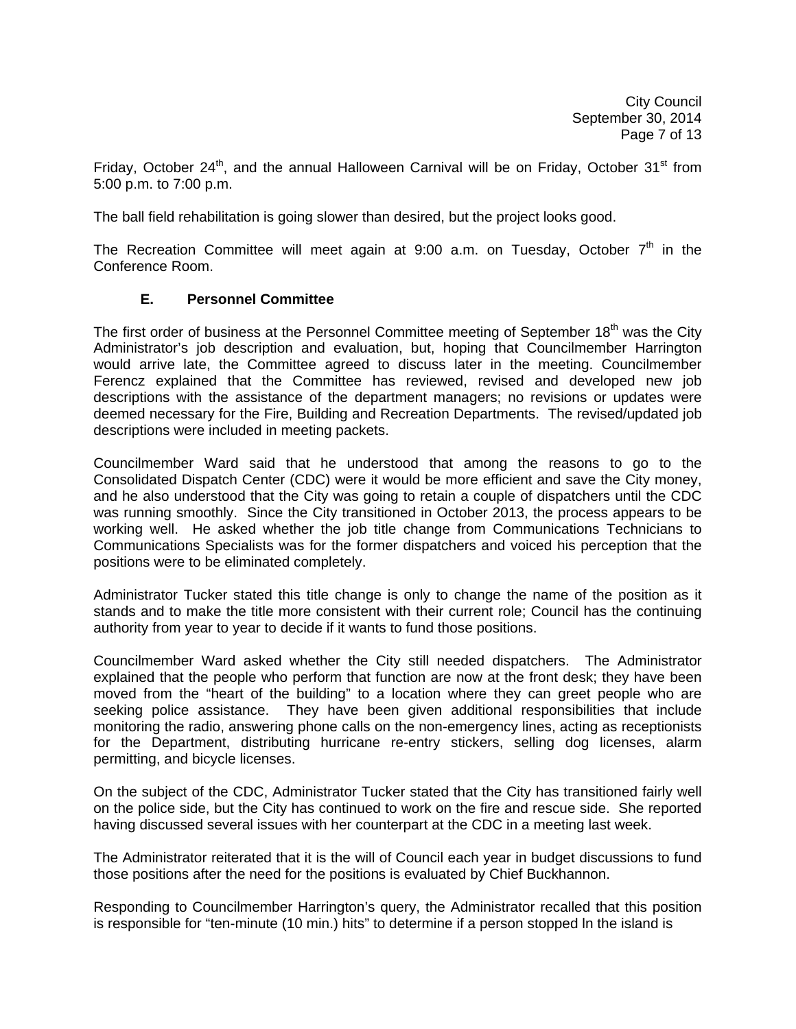Friday, October 24<sup>th</sup>, and the annual Halloween Carnival will be on Friday, October 31<sup>st</sup> from 5:00 p.m. to 7:00 p.m.

The ball field rehabilitation is going slower than desired, but the project looks good.

The Recreation Committee will meet again at 9:00 a.m. on Tuesday, October  $7<sup>th</sup>$  in the Conference Room.

### **E. Personnel Committee**

The first order of business at the Personnel Committee meeting of September 18<sup>th</sup> was the City Administrator's job description and evaluation, but, hoping that Councilmember Harrington would arrive late, the Committee agreed to discuss later in the meeting. Councilmember Ferencz explained that the Committee has reviewed, revised and developed new job descriptions with the assistance of the department managers; no revisions or updates were deemed necessary for the Fire, Building and Recreation Departments. The revised/updated job descriptions were included in meeting packets.

Councilmember Ward said that he understood that among the reasons to go to the Consolidated Dispatch Center (CDC) were it would be more efficient and save the City money, and he also understood that the City was going to retain a couple of dispatchers until the CDC was running smoothly. Since the City transitioned in October 2013, the process appears to be working well. He asked whether the job title change from Communications Technicians to Communications Specialists was for the former dispatchers and voiced his perception that the positions were to be eliminated completely.

Administrator Tucker stated this title change is only to change the name of the position as it stands and to make the title more consistent with their current role; Council has the continuing authority from year to year to decide if it wants to fund those positions.

Councilmember Ward asked whether the City still needed dispatchers. The Administrator explained that the people who perform that function are now at the front desk; they have been moved from the "heart of the building" to a location where they can greet people who are seeking police assistance. They have been given additional responsibilities that include monitoring the radio, answering phone calls on the non-emergency lines, acting as receptionists for the Department, distributing hurricane re-entry stickers, selling dog licenses, alarm permitting, and bicycle licenses.

On the subject of the CDC, Administrator Tucker stated that the City has transitioned fairly well on the police side, but the City has continued to work on the fire and rescue side. She reported having discussed several issues with her counterpart at the CDC in a meeting last week.

The Administrator reiterated that it is the will of Council each year in budget discussions to fund those positions after the need for the positions is evaluated by Chief Buckhannon.

Responding to Councilmember Harrington's query, the Administrator recalled that this position is responsible for "ten-minute (10 min.) hits" to determine if a person stopped ln the island is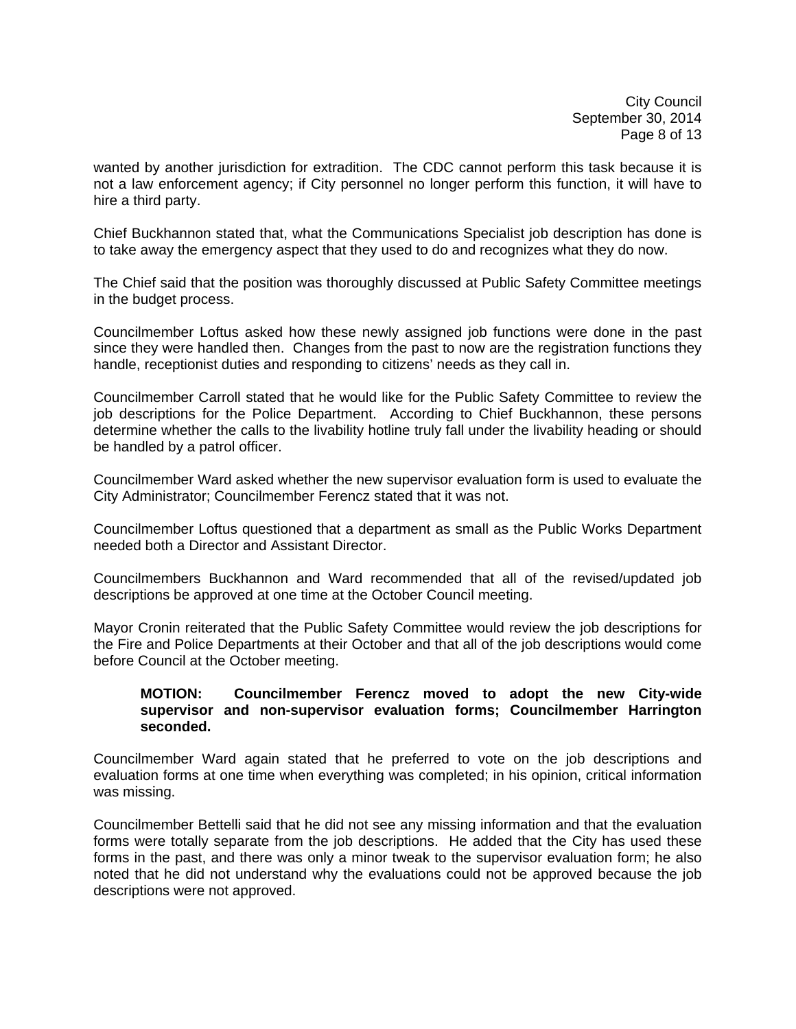wanted by another jurisdiction for extradition. The CDC cannot perform this task because it is not a law enforcement agency; if City personnel no longer perform this function, it will have to hire a third party.

Chief Buckhannon stated that, what the Communications Specialist job description has done is to take away the emergency aspect that they used to do and recognizes what they do now.

The Chief said that the position was thoroughly discussed at Public Safety Committee meetings in the budget process.

Councilmember Loftus asked how these newly assigned job functions were done in the past since they were handled then. Changes from the past to now are the registration functions they handle, receptionist duties and responding to citizens' needs as they call in.

Councilmember Carroll stated that he would like for the Public Safety Committee to review the job descriptions for the Police Department. According to Chief Buckhannon, these persons determine whether the calls to the livability hotline truly fall under the livability heading or should be handled by a patrol officer.

Councilmember Ward asked whether the new supervisor evaluation form is used to evaluate the City Administrator; Councilmember Ferencz stated that it was not.

Councilmember Loftus questioned that a department as small as the Public Works Department needed both a Director and Assistant Director.

Councilmembers Buckhannon and Ward recommended that all of the revised/updated job descriptions be approved at one time at the October Council meeting.

Mayor Cronin reiterated that the Public Safety Committee would review the job descriptions for the Fire and Police Departments at their October and that all of the job descriptions would come before Council at the October meeting.

#### **MOTION: Councilmember Ferencz moved to adopt the new City-wide supervisor and non-supervisor evaluation forms; Councilmember Harrington seconded.**

Councilmember Ward again stated that he preferred to vote on the job descriptions and evaluation forms at one time when everything was completed; in his opinion, critical information was missing.

Councilmember Bettelli said that he did not see any missing information and that the evaluation forms were totally separate from the job descriptions. He added that the City has used these forms in the past, and there was only a minor tweak to the supervisor evaluation form; he also noted that he did not understand why the evaluations could not be approved because the job descriptions were not approved.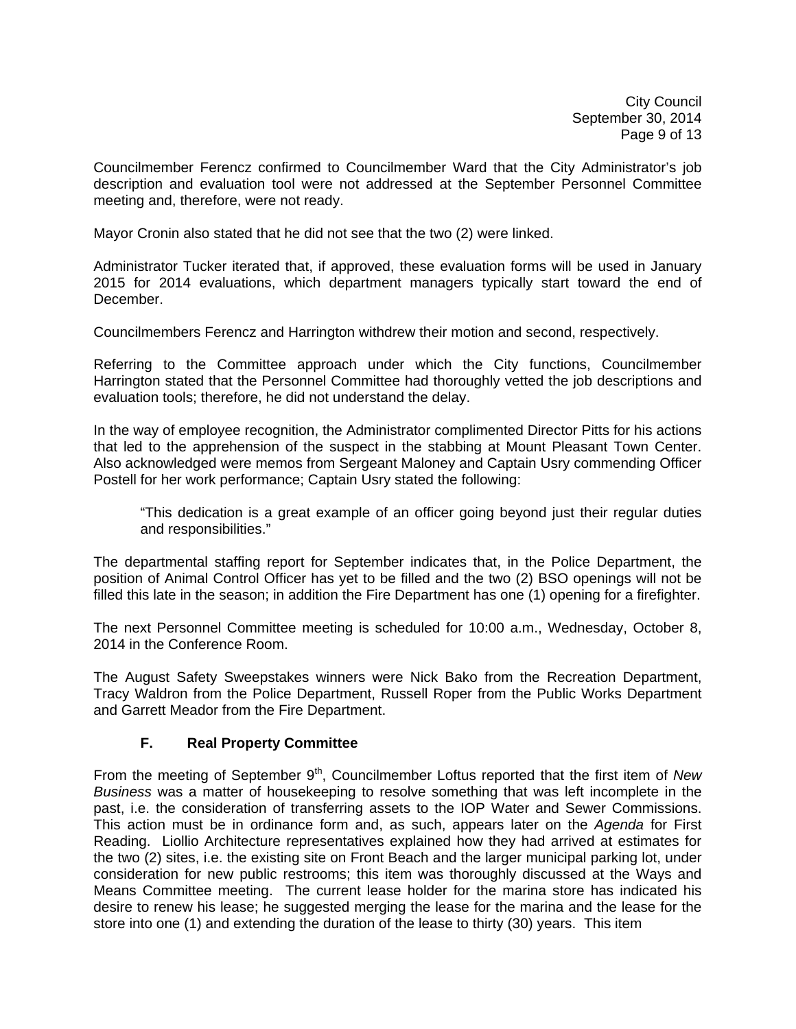Councilmember Ferencz confirmed to Councilmember Ward that the City Administrator's job description and evaluation tool were not addressed at the September Personnel Committee meeting and, therefore, were not ready.

Mayor Cronin also stated that he did not see that the two (2) were linked.

Administrator Tucker iterated that, if approved, these evaluation forms will be used in January 2015 for 2014 evaluations, which department managers typically start toward the end of December.

Councilmembers Ferencz and Harrington withdrew their motion and second, respectively.

Referring to the Committee approach under which the City functions, Councilmember Harrington stated that the Personnel Committee had thoroughly vetted the job descriptions and evaluation tools; therefore, he did not understand the delay.

In the way of employee recognition, the Administrator complimented Director Pitts for his actions that led to the apprehension of the suspect in the stabbing at Mount Pleasant Town Center. Also acknowledged were memos from Sergeant Maloney and Captain Usry commending Officer Postell for her work performance; Captain Usry stated the following:

 "This dedication is a great example of an officer going beyond just their regular duties and responsibilities."

The departmental staffing report for September indicates that, in the Police Department, the position of Animal Control Officer has yet to be filled and the two (2) BSO openings will not be filled this late in the season; in addition the Fire Department has one (1) opening for a firefighter.

The next Personnel Committee meeting is scheduled for 10:00 a.m., Wednesday, October 8, 2014 in the Conference Room.

The August Safety Sweepstakes winners were Nick Bako from the Recreation Department, Tracy Waldron from the Police Department, Russell Roper from the Public Works Department and Garrett Meador from the Fire Department.

## **F. Real Property Committee**

From the meeting of September 9<sup>th</sup>, Councilmember Loftus reported that the first item of *New Business* was a matter of housekeeping to resolve something that was left incomplete in the past, i.e. the consideration of transferring assets to the IOP Water and Sewer Commissions. This action must be in ordinance form and, as such, appears later on the *Agenda* for First Reading. Liollio Architecture representatives explained how they had arrived at estimates for the two (2) sites, i.e. the existing site on Front Beach and the larger municipal parking lot, under consideration for new public restrooms; this item was thoroughly discussed at the Ways and Means Committee meeting. The current lease holder for the marina store has indicated his desire to renew his lease; he suggested merging the lease for the marina and the lease for the store into one (1) and extending the duration of the lease to thirty (30) years. This item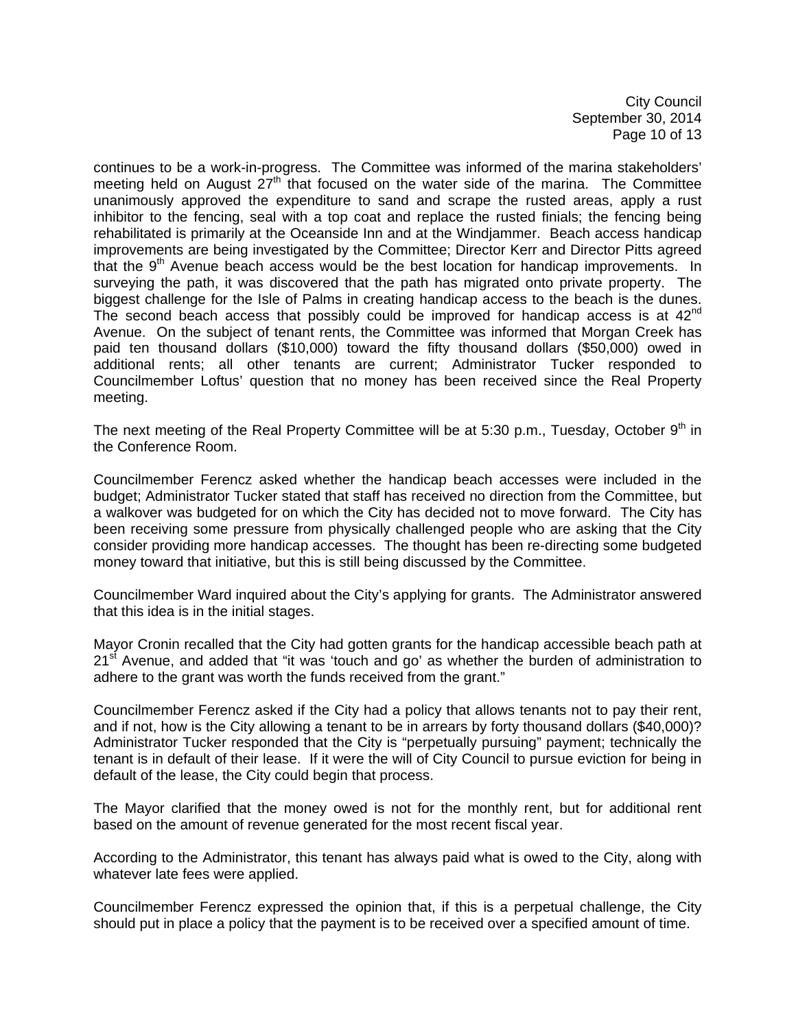City Council September 30, 2014 Page 10 of 13

continues to be a work-in-progress. The Committee was informed of the marina stakeholders' meeting held on August  $27<sup>th</sup>$  that focused on the water side of the marina. The Committee unanimously approved the expenditure to sand and scrape the rusted areas, apply a rust inhibitor to the fencing, seal with a top coat and replace the rusted finials; the fencing being rehabilitated is primarily at the Oceanside Inn and at the Windjammer. Beach access handicap improvements are being investigated by the Committee; Director Kerr and Director Pitts agreed that the  $9<sup>th</sup>$  Avenue beach access would be the best location for handicap improvements. In surveying the path, it was discovered that the path has migrated onto private property. The biggest challenge for the Isle of Palms in creating handicap access to the beach is the dunes. The second beach access that possibly could be improved for handicap access is at  $42<sup>nd</sup>$ Avenue. On the subject of tenant rents, the Committee was informed that Morgan Creek has paid ten thousand dollars (\$10,000) toward the fifty thousand dollars (\$50,000) owed in additional rents; all other tenants are current; Administrator Tucker responded to Councilmember Loftus' question that no money has been received since the Real Property meeting.

The next meeting of the Real Property Committee will be at 5:30 p.m., Tuesday, October  $9<sup>th</sup>$  in the Conference Room.

Councilmember Ferencz asked whether the handicap beach accesses were included in the budget; Administrator Tucker stated that staff has received no direction from the Committee, but a walkover was budgeted for on which the City has decided not to move forward. The City has been receiving some pressure from physically challenged people who are asking that the City consider providing more handicap accesses. The thought has been re-directing some budgeted money toward that initiative, but this is still being discussed by the Committee.

Councilmember Ward inquired about the City's applying for grants. The Administrator answered that this idea is in the initial stages.

Mayor Cronin recalled that the City had gotten grants for the handicap accessible beach path at  $21<sup>st</sup>$  Avenue, and added that "it was 'touch and go' as whether the burden of administration to adhere to the grant was worth the funds received from the grant."

Councilmember Ferencz asked if the City had a policy that allows tenants not to pay their rent, and if not, how is the City allowing a tenant to be in arrears by forty thousand dollars (\$40,000)? Administrator Tucker responded that the City is "perpetually pursuing" payment; technically the tenant is in default of their lease. If it were the will of City Council to pursue eviction for being in default of the lease, the City could begin that process.

The Mayor clarified that the money owed is not for the monthly rent, but for additional rent based on the amount of revenue generated for the most recent fiscal year.

According to the Administrator, this tenant has always paid what is owed to the City, along with whatever late fees were applied.

Councilmember Ferencz expressed the opinion that, if this is a perpetual challenge, the City should put in place a policy that the payment is to be received over a specified amount of time.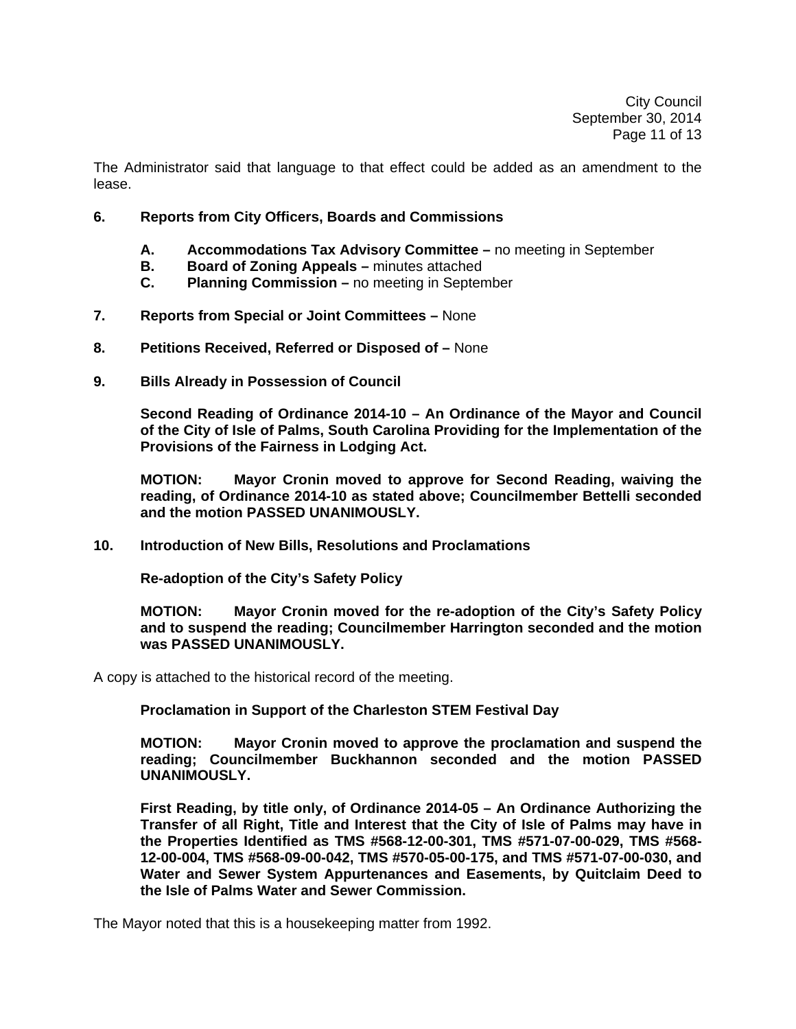The Administrator said that language to that effect could be added as an amendment to the lease.

- **6. Reports from City Officers, Boards and Commissions** 
	- **A. Accommodations Tax Advisory Committee** no meeting in September
	- **B. Board of Zoning Appeals** minutes attached
	- **C. Planning Commission** no meeting in September
- **7. Reports from Special or Joint Committees** None
- **8. Petitions Received, Referred or Disposed of** None
- **9. Bills Already in Possession of Council**

 **Second Reading of Ordinance 2014-10 – An Ordinance of the Mayor and Council of the City of Isle of Palms, South Carolina Providing for the Implementation of the Provisions of the Fairness in Lodging Act.** 

 **MOTION: Mayor Cronin moved to approve for Second Reading, waiving the reading, of Ordinance 2014-10 as stated above; Councilmember Bettelli seconded and the motion PASSED UNANIMOUSLY.** 

**10. Introduction of New Bills, Resolutions and Proclamations** 

 **Re-adoption of the City's Safety Policy** 

**MOTION: Mayor Cronin moved for the re-adoption of the City's Safety Policy and to suspend the reading; Councilmember Harrington seconded and the motion was PASSED UNANIMOUSLY.** 

A copy is attached to the historical record of the meeting.

**Proclamation in Support of the Charleston STEM Festival Day** 

 **MOTION: Mayor Cronin moved to approve the proclamation and suspend the reading; Councilmember Buckhannon seconded and the motion PASSED UNANIMOUSLY.** 

 **First Reading, by title only, of Ordinance 2014-05 – An Ordinance Authorizing the Transfer of all Right, Title and Interest that the City of Isle of Palms may have in the Properties Identified as TMS #568-12-00-301, TMS #571-07-00-029, TMS #568- 12-00-004, TMS #568-09-00-042, TMS #570-05-00-175, and TMS #571-07-00-030, and Water and Sewer System Appurtenances and Easements, by Quitclaim Deed to the Isle of Palms Water and Sewer Commission.** 

The Mayor noted that this is a housekeeping matter from 1992.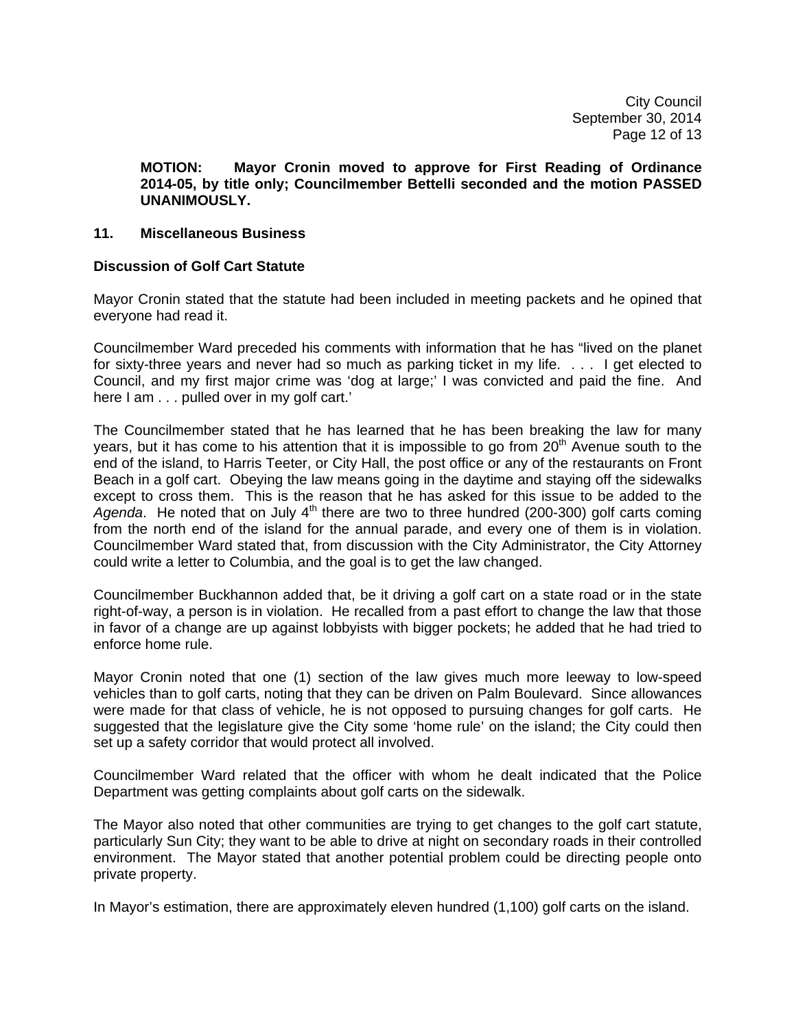City Council September 30, 2014 Page 12 of 13

 **MOTION: Mayor Cronin moved to approve for First Reading of Ordinance 2014-05, by title only; Councilmember Bettelli seconded and the motion PASSED UNANIMOUSLY.** 

#### **11. Miscellaneous Business**

#### **Discussion of Golf Cart Statute**

Mayor Cronin stated that the statute had been included in meeting packets and he opined that everyone had read it.

Councilmember Ward preceded his comments with information that he has "lived on the planet for sixty-three years and never had so much as parking ticket in my life. . . . I get elected to Council, and my first major crime was 'dog at large;' I was convicted and paid the fine. And here I am . . . pulled over in my golf cart.'

The Councilmember stated that he has learned that he has been breaking the law for many years, but it has come to his attention that it is impossible to go from  $20<sup>th</sup>$  Avenue south to the end of the island, to Harris Teeter, or City Hall, the post office or any of the restaurants on Front Beach in a golf cart. Obeying the law means going in the daytime and staying off the sidewalks except to cross them. This is the reason that he has asked for this issue to be added to the Agenda. He noted that on July 4<sup>th</sup> there are two to three hundred (200-300) golf carts coming from the north end of the island for the annual parade, and every one of them is in violation. Councilmember Ward stated that, from discussion with the City Administrator, the City Attorney could write a letter to Columbia, and the goal is to get the law changed.

Councilmember Buckhannon added that, be it driving a golf cart on a state road or in the state right-of-way, a person is in violation. He recalled from a past effort to change the law that those in favor of a change are up against lobbyists with bigger pockets; he added that he had tried to enforce home rule.

Mayor Cronin noted that one (1) section of the law gives much more leeway to low-speed vehicles than to golf carts, noting that they can be driven on Palm Boulevard. Since allowances were made for that class of vehicle, he is not opposed to pursuing changes for golf carts. He suggested that the legislature give the City some 'home rule' on the island; the City could then set up a safety corridor that would protect all involved.

Councilmember Ward related that the officer with whom he dealt indicated that the Police Department was getting complaints about golf carts on the sidewalk.

The Mayor also noted that other communities are trying to get changes to the golf cart statute, particularly Sun City; they want to be able to drive at night on secondary roads in their controlled environment. The Mayor stated that another potential problem could be directing people onto private property.

In Mayor's estimation, there are approximately eleven hundred (1,100) golf carts on the island.